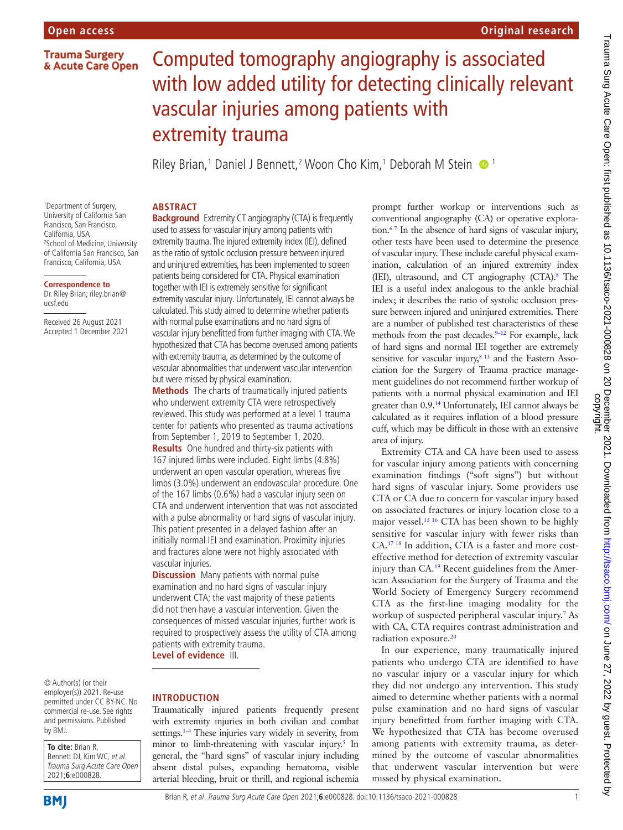# Computed tomography angiography is associated with low added utility for detecting clinically relevant vascular injuries among patients with extremity trauma

Riley Brian,<sup>1</sup> Daniel J Bennett,<sup>2</sup> Woon Cho Kim,<sup>1</sup> Deborah M Stein <sup>1</sup>

#### 1 Department of Surgery, University of California San Francisco, San Francisco, California, USA 2 School of Medicine, University of California San Francisco, San Francisco, California, USA

#### **Correspondence to**

Dr. Riley Brian; riley.brian@ ucsf.edu

Received 26 August 2021 Accepted 1 December 2021 **ABSTRACT Background** Extremity CT angiography (CTA) is frequently used to assess for vascular injury among patients with extremity trauma. The injured extremity index (IEI), defined as the ratio of systolic occlusion pressure between injured and uninjured extremities, has been implemented to screen patients being considered for CTA. Physical examination together with IEI is extremely sensitive for significant extremity vascular injury. Unfortunately, IEI cannot always be calculated. This study aimed to determine whether patients with normal pulse examinations and no hard signs of vascular injury benefitted from further imaging with CTA. We hypothesized that CTA has become overused among patients with extremity trauma, as determined by the outcome of vascular abnormalities that underwent vascular intervention but were missed by physical examination.

**Methods** The charts of traumatically injured patients who underwent extremity CTA were retrospectively reviewed. This study was performed at a level 1 trauma center for patients who presented as trauma activations from September 1, 2019 to September 1, 2020.

**Results** One hundred and thirty-six patients with 167 injured limbs were included. Eight limbs (4.8%) underwent an open vascular operation, whereas five limbs (3.0%) underwent an endovascular procedure. One of the 167 limbs (0.6%) had a vascular injury seen on CTA and underwent intervention that was not associated with a pulse abnormality or hard signs of vascular injury. This patient presented in a delayed fashion after an initially normal IEI and examination. Proximity injuries and fractures alone were not highly associated with vascular injuries.

**Discussion** Many patients with normal pulse examination and no hard signs of vascular injury underwent CTA; the vast majority of these patients did not then have a vascular intervention. Given the consequences of missed vascular injuries, further work is required to prospectively assess the utility of CTA among patients with extremity trauma.

**Level of evidence** III.

© Author(s) (or their employer(s)) 2021. Re-use permitted under CC BY-NC. No commercial re-use. See rights and permissions. Published by BMJ.

**To cite:** Brian R, Bennett DJ, Kim WC, et al. Trauma Surg Acute Care Open 2021;**6**:e000828.

**INTRODUCTION**

Traumatically injured patients frequently present with extremity injuries in both civilian and combat settings.<sup>1–4</sup> These injuries vary widely in severity, from minor to limb-threatening with vascular injury.<sup>[5](#page-3-1)</sup> In general, the "hard signs" of vascular injury including absent distal pulses, expanding hematoma, visible arterial bleeding, bruit or thrill, and regional ischemia

prompt further workup or interventions such as conventional angiography (CA) or operative exploration[.6 7](#page-3-2) In the absence of hard signs of vascular injury, other tests have been used to determine the presence of vascular injury. These include careful physical examination, calculation of an injured extremity index (IEI), ultrasound, and CT angiography (CTA).[8](#page-3-3) The IEI is a useful index analogous to the ankle brachial index; it describes the ratio of systolic occlusion pressure between injured and uninjured extremities. There are a number of published test characteristics of these methods from the past decades.<sup>9-12</sup> For example, lack of hard signs and normal IEI together are extremely sensitive for vascular injury,<sup>8 13</sup> and the Eastern Association for the Surgery of Trauma practice management guidelines do not recommend further workup of patients with a normal physical examination and IEI greater than 0.9[.14](#page-3-5) Unfortunately, IEI cannot always be calculated as it requires inflation of a blood pressure cuff, which may be difficult in those with an extensive area of injury.

Extremity CTA and CA have been used to assess for vascular injury among patients with concerning examination findings ("soft signs") but without hard signs of vascular injury. Some providers use CTA or CA due to concern for vascular injury based on associated fractures or injury location close to a major vessel.<sup>15 16</sup> CTA has been shown to be highly sensitive for vascular injury with fewer risks than CA.[17 18](#page-3-7) In addition, CTA is a faster and more costeffective method for detection of extremity vascular injury than CA.<sup>19</sup> Recent guidelines from the American Association for the Surgery of Trauma and the World Society of Emergency Surgery recommend CTA as the first-line imaging modality for the workup of suspected peripheral vascular injury[.7](#page-3-9) As with CA, CTA requires contrast administration and radiation exposure.<sup>[20](#page-3-10)</sup>

In our experience, many traumatically injured patients who undergo CTA are identified to have no vascular injury or a vascular injury for which they did not undergo any intervention. This study aimed to determine whether patients with a normal pulse examination and no hard signs of vascular injury benefitted from further imaging with CTA. We hypothesized that CTA has become overused among patients with extremity trauma, as determined by the outcome of vascular abnormalities that underwent vascular intervention but were missed by physical examination.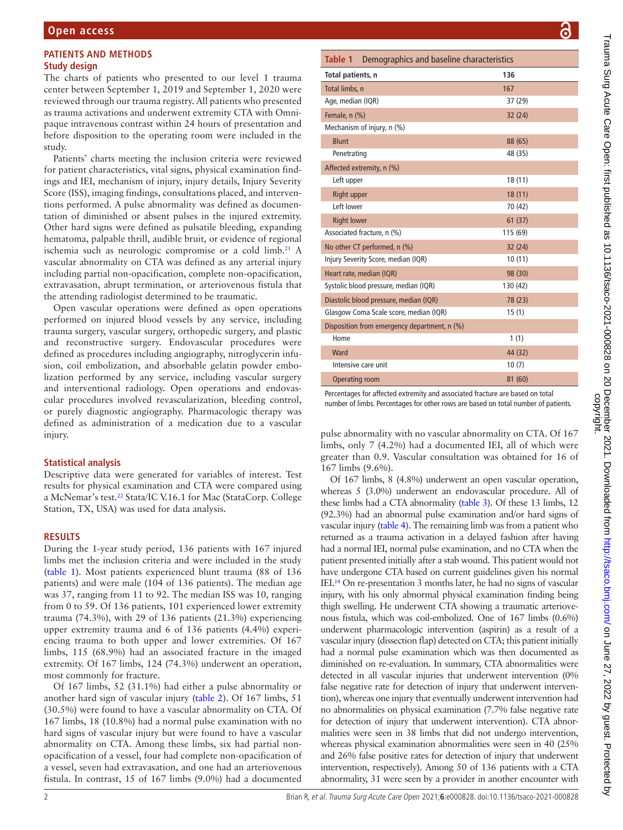## **PATIENTS AND METHODS Study design**

The charts of patients who presented to our level 1 trauma center between September 1, 2019 and September 1, 2020 were reviewed through our trauma registry. All patients who presented as trauma activations and underwent extremity CTA with Omnipaque intravenous contrast within 24 hours of presentation and before disposition to the operating room were included in the study.

Patients' charts meeting the inclusion criteria were reviewed for patient characteristics, vital signs, physical examination findings and IEI, mechanism of injury, injury details, Injury Severity Score (ISS), imaging findings, consultations placed, and interventions performed. A pulse abnormality was defined as documentation of diminished or absent pulses in the injured extremity. Other hard signs were defined as pulsatile bleeding, expanding hematoma, palpable thrill, audible bruit, or evidence of regional ischemia such as neurologic compromise or a cold limb.<sup>21</sup> A vascular abnormality on CTA was defined as any arterial injury including partial non-opacification, complete non-opacification, extravasation, abrupt termination, or arteriovenous fistula that the attending radiologist determined to be traumatic.

Open vascular operations were defined as open operations performed on injured blood vessels by any service, including trauma surgery, vascular surgery, orthopedic surgery, and plastic and reconstructive surgery. Endovascular procedures were defined as procedures including angiography, nitroglycerin infusion, coil embolization, and absorbable gelatin powder embolization performed by any service, including vascular surgery and interventional radiology. Open operations and endovascular procedures involved revascularization, bleeding control, or purely diagnostic angiography. Pharmacologic therapy was defined as administration of a medication due to a vascular injury.

## **Statistical analysis**

Descriptive data were generated for variables of interest. Test results for physical examination and CTA were compared using a McNemar's test.<sup>22</sup> Stata/IC V.16.1 for Mac (StataCorp. College Station, TX, USA) was used for data analysis.

## **RESULTS**

During the 1-year study period, 136 patients with 167 injured limbs met the inclusion criteria and were included in the study ([table](#page-1-0) 1). Most patients experienced blunt trauma (88 of 136 patients) and were male (104 of 136 patients). The median age was 37, ranging from 11 to 92. The median ISS was 10, ranging from 0 to 59. Of 136 patients, 101 experienced lower extremity trauma (74.3%), with 29 of 136 patients (21.3%) experiencing upper extremity trauma and 6 of 136 patients (4.4%) experiencing trauma to both upper and lower extremities. Of 167 limbs, 115 (68.9%) had an associated fracture in the imaged extremity. Of 167 limbs, 124 (74.3%) underwent an operation, most commonly for fracture.

Of 167 limbs, 52 (31.1%) had either a pulse abnormality or another hard sign of vascular injury ([table](#page-2-0) 2). Of 167 limbs, 51 (30.5%) were found to have a vascular abnormality on CTA. Of 167 limbs, 18 (10.8%) had a normal pulse examination with no hard signs of vascular injury but were found to have a vascular abnormality on CTA. Among these limbs, six had partial nonopacification of a vessel, four had complete non-opacification of a vessel, seven had extravasation, and one had an arteriovenous fistula. In contrast, 15 of 167 limbs (9.0%) had a documented

<span id="page-1-0"></span>

| Table 1<br>Demographics and baseline characteristics |          |  |  |  |  |  |
|------------------------------------------------------|----------|--|--|--|--|--|
| Total patients, n                                    | 136      |  |  |  |  |  |
| Total limbs, n                                       | 167      |  |  |  |  |  |
| Age, median (IQR)                                    | 37 (29)  |  |  |  |  |  |
| Female, n (%)                                        | 32(24)   |  |  |  |  |  |
| Mechanism of injury, n (%)                           |          |  |  |  |  |  |
| <b>Blunt</b>                                         | 88 (65)  |  |  |  |  |  |
| Penetrating                                          | 48 (35)  |  |  |  |  |  |
| Affected extremity, n (%)                            |          |  |  |  |  |  |
| Left upper                                           | 18(11)   |  |  |  |  |  |
| Right upper                                          | 18(11)   |  |  |  |  |  |
| Left lower                                           | 70 (42)  |  |  |  |  |  |
| <b>Right lower</b>                                   | 61(37)   |  |  |  |  |  |
| Associated fracture, n (%)                           | 115 (69) |  |  |  |  |  |
| No other CT performed, n (%)                         | 32 (24)  |  |  |  |  |  |
| Injury Severity Score, median (IQR)                  | 10(11)   |  |  |  |  |  |
| Heart rate, median (IQR)                             | 98 (30)  |  |  |  |  |  |
| Systolic blood pressure, median (IQR)                | 130 (42) |  |  |  |  |  |
| Diastolic blood pressure, median (IQR)               | 78 (23)  |  |  |  |  |  |
| Glasgow Coma Scale score, median (IQR)               | 15(1)    |  |  |  |  |  |
| Disposition from emergency department, n (%)         |          |  |  |  |  |  |
| Home                                                 | 1(1)     |  |  |  |  |  |
| Ward                                                 | 44 (32)  |  |  |  |  |  |
| Intensive care unit                                  | 10(7)    |  |  |  |  |  |
| <b>Operating room</b>                                | 81 (60)  |  |  |  |  |  |

Percentages for affected extremity and associated fracture are based on total number of limbs. Percentages for other rows are based on total number of patients.

pulse abnormality with no vascular abnormality on CTA. Of 167 limbs, only 7 (4.2%) had a documented IEI, all of which were greater than 0.9. Vascular consultation was obtained for 16 of 167 limbs (9.6%).

Of 167 limbs, 8 (4.8%) underwent an open vascular operation, whereas 5 (3.0%) underwent an endovascular procedure. All of these limbs had a CTA abnormality [\(table](#page-2-1) 3). Of these 13 limbs, 12 (92.3%) had an abnormal pulse examination and/or hard signs of vascular injury ([table](#page-3-13) 4). The remaining limb was from a patient who returned as a trauma activation in a delayed fashion after having had a normal IEI, normal pulse examination, and no CTA when the patient presented initially after a stab wound. This patient would not have undergone CTA based on current guidelines given his normal IEI[.14](#page-3-5) On re-presentation 3 months later, he had no signs of vascular injury, with his only abnormal physical examination finding being thigh swelling. He underwent CTA showing a traumatic arteriovenous fistula, which was coil-embolized. One of 167 limbs (0.6%) underwent pharmacologic intervention (aspirin) as a result of a vascular injury (dissection flap) detected on CTA; this patient initially had a normal pulse examination which was then documented as diminished on re-evaluation. In summary, CTA abnormalities were detected in all vascular injuries that underwent intervention (0% false negative rate for detection of injury that underwent intervention), whereas one injury that eventually underwent intervention had no abnormalities on physical examination (7.7% false negative rate for detection of injury that underwent intervention). CTA abnormalities were seen in 38 limbs that did not undergo intervention, whereas physical examination abnormalities were seen in 40 (25% and 26% false positive rates for detection of injury that underwent intervention, respectively). Among 50 of 136 patients with a CTA abnormality, 31 were seen by a provider in another encounter with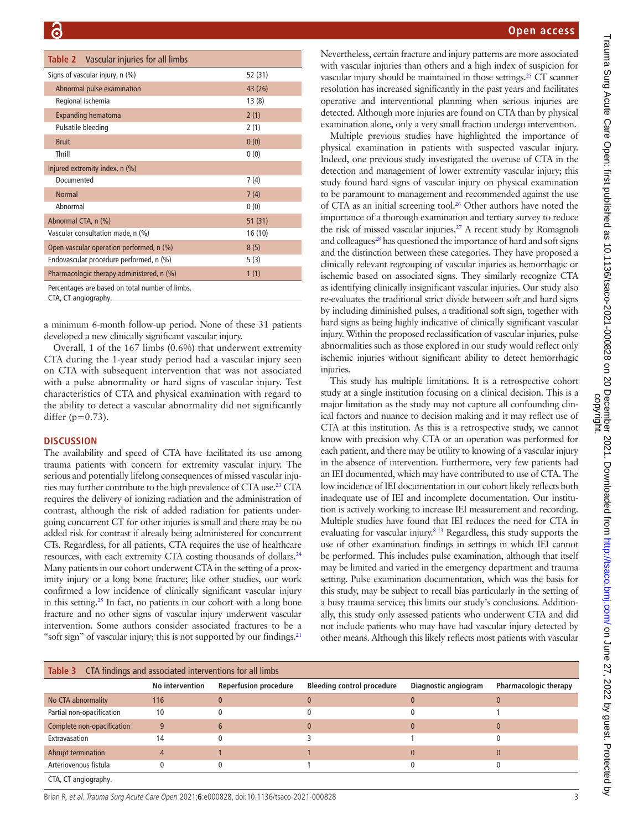<span id="page-2-0"></span>

| <b>Table 2</b> Vascular injuries for all limbs  |         |
|-------------------------------------------------|---------|
| Signs of vascular injury, n (%)                 | 52 (31) |
| Abnormal pulse examination                      | 43 (26) |
| Regional ischemia                               | 13(8)   |
| <b>Expanding hematoma</b>                       | 2(1)    |
| Pulsatile bleeding                              | 2(1)    |
| <b>Bruit</b>                                    | 0(0)    |
| Thrill                                          | 0(0)    |
| Injured extremity index, n (%)                  |         |
| Documented                                      | 7(4)    |
| <b>Normal</b>                                   | 7(4)    |
| Abnormal                                        | 0(0)    |
| Abnormal CTA, n (%)                             | 51(31)  |
| Vascular consultation made, n (%)               | 16(10)  |
| Open vascular operation performed, n (%)        | 8(5)    |
| Endovascular procedure performed, n (%)         | 5(3)    |
| Pharmacologic therapy administered, n (%)       | 1(1)    |
| Percentages are based on total number of limbs. |         |

CTA, CT angiography.

a minimum 6-month follow-up period. None of these 31 patients developed a new clinically significant vascular injury.

Overall, 1 of the 167 limbs (0.6%) that underwent extremity CTA during the 1-year study period had a vascular injury seen on CTA with subsequent intervention that was not associated with a pulse abnormality or hard signs of vascular injury. Test characteristics of CTA and physical examination with regard to the ability to detect a vascular abnormality did not significantly differ ( $p=0.73$ ).

#### **DISCUSSION**

The availability and speed of CTA have facilitated its use among trauma patients with concern for extremity vascular injury. The serious and potentially lifelong consequences of missed vascular injuries may further contribute to the high prevalence of CTA use.[23](#page-3-14) CTA requires the delivery of ionizing radiation and the administration of contrast, although the risk of added radiation for patients undergoing concurrent CT for other injuries is small and there may be no added risk for contrast if already being administered for concurrent CTs. Regardless, for all patients, CTA requires the use of healthcare resources, with each extremity CTA costing thousands of dollars[.24](#page-3-15) Many patients in our cohort underwent CTA in the setting of a proximity injury or a long bone fracture; like other studies, our work confirmed a low incidence of clinically significant vascular injury in this setting.<sup>25</sup> In fact, no patients in our cohort with a long bone fracture and no other signs of vascular injury underwent vascular intervention. Some authors consider associated fractures to be a "soft sign" of vascular injury; this is not supported by our findings.<sup>21</sup>

Nevertheless, certain fracture and injury patterns are more associated with vascular injuries than others and a high index of suspicion for vascular injury should be maintained in those settings.<sup>25</sup> CT scanner resolution has increased significantly in the past years and facilitates operative and interventional planning when serious injuries are detected. Although more injuries are found on CTA than by physical examination alone, only a very small fraction undergo intervention.

Multiple previous studies have highlighted the importance of physical examination in patients with suspected vascular injury. Indeed, one previous study investigated the overuse of CTA in the detection and management of lower extremity vascular injury; this study found hard signs of vascular injury on physical examination to be paramount to management and recommended against the use of CTA as an initial screening tool.<sup>26</sup> Other authors have noted the importance of a thorough examination and tertiary survey to reduce the risk of missed vascular injuries.<sup>27</sup> A recent study by Romagnoli and colleagues<sup>28</sup> has questioned the importance of hard and soft signs and the distinction between these categories. They have proposed a clinically relevant regrouping of vascular injuries as hemorrhagic or ischemic based on associated signs. They similarly recognize CTA as identifying clinically insignificant vascular injuries. Our study also re-evaluates the traditional strict divide between soft and hard signs by including diminished pulses, a traditional soft sign, together with hard signs as being highly indicative of clinically significant vascular injury. Within the proposed reclassification of vascular injuries, pulse abnormalities such as those explored in our study would reflect only ischemic injuries without significant ability to detect hemorrhagic injuries.

This study has multiple limitations. It is a retrospective cohort study at a single institution focusing on a clinical decision. This is a major limitation as the study may not capture all confounding clinical factors and nuance to decision making and it may reflect use of CTA at this institution. As this is a retrospective study, we cannot know with precision why CTA or an operation was performed for each patient, and there may be utility to knowing of a vascular injury in the absence of intervention. Furthermore, very few patients had an IEI documented, which may have contributed to use of CTA. The low incidence of IEI documentation in our cohort likely reflects both inadequate use of IEI and incomplete documentation. Our institution is actively working to increase IEI measurement and recording. Multiple studies have found that IEI reduces the need for CTA in evaluating for vascular injury.<sup>8 13</sup> Regardless, this study supports the use of other examination findings in settings in which IEI cannot be performed. This includes pulse examination, although that itself may be limited and varied in the emergency department and trauma setting. Pulse examination documentation, which was the basis for this study, may be subject to recall bias particularly in the setting of a busy trauma service; this limits our study's conclusions. Additionally, this study only assessed patients who underwent CTA and did not include patients who may have had vascular injury detected by other means. Although this likely reflects most patients with vascular

<span id="page-2-1"></span>

| <b>Table 3</b> CTA findings and associated interventions for all limbs |                 |                              |                                   |                      |                              |  |  |  |
|------------------------------------------------------------------------|-----------------|------------------------------|-----------------------------------|----------------------|------------------------------|--|--|--|
|                                                                        | No intervention | <b>Reperfusion procedure</b> | <b>Bleeding control procedure</b> | Diagnostic angiogram | <b>Pharmacologic therapy</b> |  |  |  |
| No CTA abnormality                                                     | 116             |                              |                                   |                      |                              |  |  |  |
| Partial non-opacification                                              | 10              |                              |                                   |                      |                              |  |  |  |
| Complete non-opacification                                             | 9               | 6                            |                                   | $\Omega$             |                              |  |  |  |
| Extravasation                                                          | 14              |                              |                                   |                      |                              |  |  |  |
| Abrupt termination                                                     | 4               |                              |                                   |                      |                              |  |  |  |
| Arteriovenous fistula                                                  |                 |                              |                                   |                      |                              |  |  |  |
| CTA, CT angiography.                                                   |                 |                              |                                   |                      |                              |  |  |  |